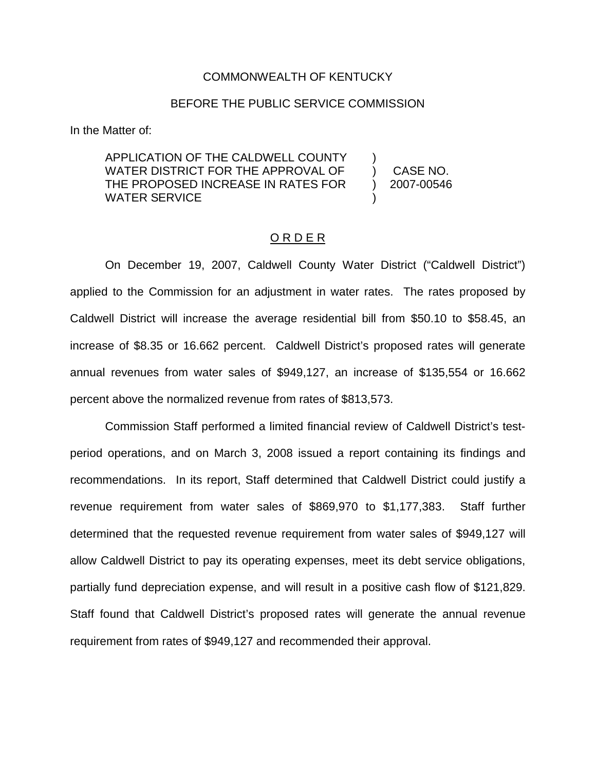#### COMMONWEALTH OF KENTUCKY

#### BEFORE THE PUBLIC SERVICE COMMISSION

In the Matter of:

APPLICATION OF THE CALDWELL COUNTY WATER DISTRICT FOR THE APPROVAL OF THE PROPOSED INCREASE IN RATES FOR WATER SERVICE ) ) ) )

CASE NO. 2007-00546

On December 19, 2007, Caldwell County Water District ("Caldwell District") applied to the Commission for an adjustment in water rates. The rates proposed by Caldwell District will increase the average residential bill from \$50.10 to \$58.45, an increase of \$8.35 or 16.662 percent. Caldwell District's proposed rates will generate annual revenues from water sales of \$949,127, an increase of \$135,554 or 16.662 percent above the normalized revenue from rates of \$813,573.

O R D E R

Commission Staff performed a limited financial review of Caldwell District's testperiod operations, and on March 3, 2008 issued a report containing its findings and recommendations. In its report, Staff determined that Caldwell District could justify a revenue requirement from water sales of \$869,970 to \$1,177,383. Staff further determined that the requested revenue requirement from water sales of \$949,127 will allow Caldwell District to pay its operating expenses, meet its debt service obligations, partially fund depreciation expense, and will result in a positive cash flow of \$121,829. Staff found that Caldwell District's proposed rates will generate the annual revenue requirement from rates of \$949,127 and recommended their approval.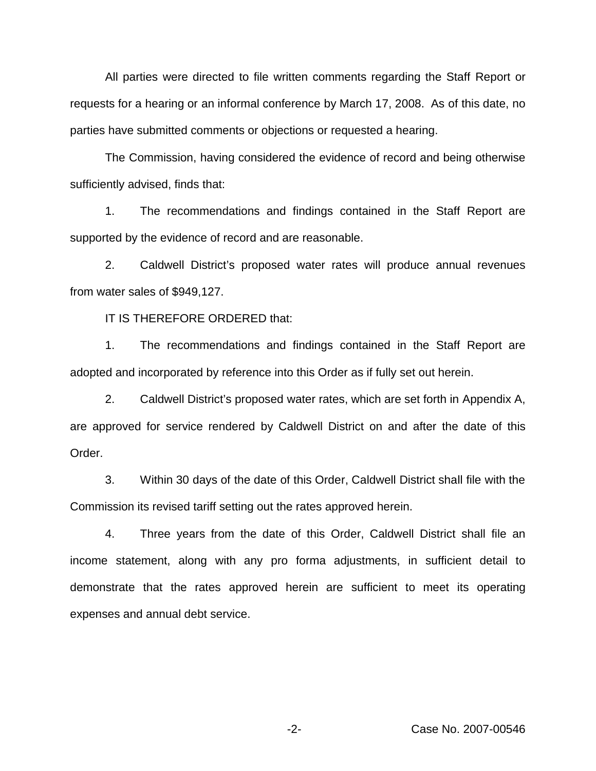All parties were directed to file written comments regarding the Staff Report or requests for a hearing or an informal conference by March 17, 2008. As of this date, no parties have submitted comments or objections or requested a hearing.

The Commission, having considered the evidence of record and being otherwise sufficiently advised, finds that:

1. The recommendations and findings contained in the Staff Report are supported by the evidence of record and are reasonable.

2. Caldwell District's proposed water rates will produce annual revenues from water sales of \$949,127.

IT IS THEREFORE ORDERED that:

1. The recommendations and findings contained in the Staff Report are adopted and incorporated by reference into this Order as if fully set out herein.

2. Caldwell District's proposed water rates, which are set forth in Appendix A, are approved for service rendered by Caldwell District on and after the date of this Order.

3. Within 30 days of the date of this Order, Caldwell District shall file with the Commission its revised tariff setting out the rates approved herein.

4. Three years from the date of this Order, Caldwell District shall file an income statement, along with any pro forma adjustments, in sufficient detail to demonstrate that the rates approved herein are sufficient to meet its operating expenses and annual debt service.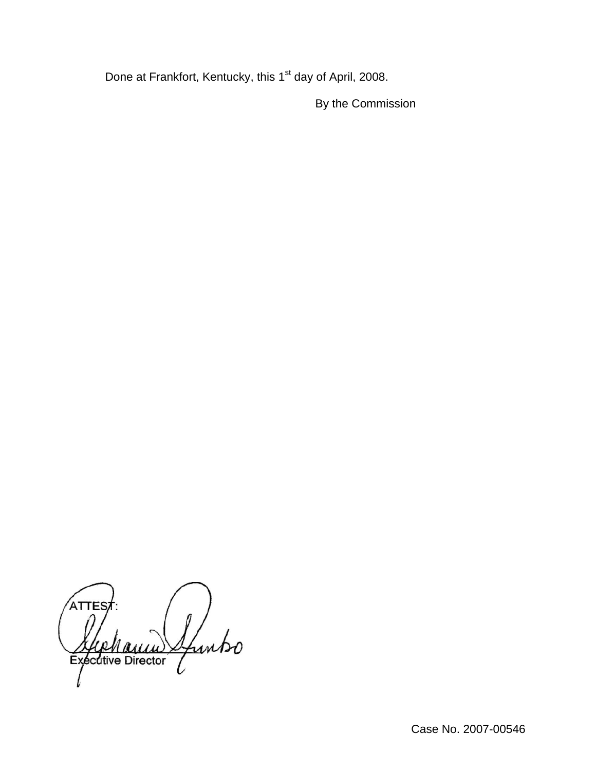Done at Frankfort, Kentucky, this 1<sup>st</sup> day of April, 2008.

By the Commission

ATTES Ifuntso Executive Director